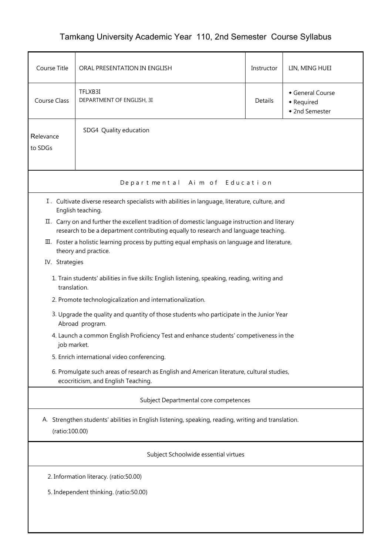## Tamkang University Academic Year 110, 2nd Semester Course Syllabus

| Course Title                                                                                                                      | ORAL PRESENTATION IN ENGLISH                                                                                                                                                          |         | LIN, MING HUEI                                 |  |  |  |  |  |
|-----------------------------------------------------------------------------------------------------------------------------------|---------------------------------------------------------------------------------------------------------------------------------------------------------------------------------------|---------|------------------------------------------------|--|--|--|--|--|
| Course Class                                                                                                                      | TFLXB3I<br>DEPARTMENT OF ENGLISH, 3I                                                                                                                                                  | Details | General Course<br>• Required<br>• 2nd Semester |  |  |  |  |  |
| Relevance<br>to SDGs                                                                                                              | SDG4 Quality education                                                                                                                                                                |         |                                                |  |  |  |  |  |
| Departmental Aim of Education                                                                                                     |                                                                                                                                                                                       |         |                                                |  |  |  |  |  |
|                                                                                                                                   | I. Cultivate diverse research specialists with abilities in language, literature, culture, and<br>English teaching.                                                                   |         |                                                |  |  |  |  |  |
|                                                                                                                                   | II. Carry on and further the excellent tradition of domestic language instruction and literary<br>research to be a department contributing equally to research and language teaching. |         |                                                |  |  |  |  |  |
|                                                                                                                                   | III. Foster a holistic learning process by putting equal emphasis on language and literature,<br>theory and practice.                                                                 |         |                                                |  |  |  |  |  |
| IV. Strategies                                                                                                                    |                                                                                                                                                                                       |         |                                                |  |  |  |  |  |
| 1. Train students' abilities in five skills: English listening, speaking, reading, writing and<br>translation.                    |                                                                                                                                                                                       |         |                                                |  |  |  |  |  |
|                                                                                                                                   | 2. Promote technologicalization and internationalization.                                                                                                                             |         |                                                |  |  |  |  |  |
| 3. Upgrade the quality and quantity of those students who participate in the Junior Year<br>Abroad program.                       |                                                                                                                                                                                       |         |                                                |  |  |  |  |  |
| 4. Launch a common English Proficiency Test and enhance students' competiveness in the<br>job market.                             |                                                                                                                                                                                       |         |                                                |  |  |  |  |  |
| 5. Enrich international video conferencing.                                                                                       |                                                                                                                                                                                       |         |                                                |  |  |  |  |  |
| 6. Promulgate such areas of research as English and American literature, cultural studies,<br>ecocriticism, and English Teaching. |                                                                                                                                                                                       |         |                                                |  |  |  |  |  |
| Subject Departmental core competences                                                                                             |                                                                                                                                                                                       |         |                                                |  |  |  |  |  |
| A. Strengthen students' abilities in English listening, speaking, reading, writing and translation.<br>(ratio:100.00)             |                                                                                                                                                                                       |         |                                                |  |  |  |  |  |
| Subject Schoolwide essential virtues                                                                                              |                                                                                                                                                                                       |         |                                                |  |  |  |  |  |
| 2. Information literacy. (ratio:50.00)                                                                                            |                                                                                                                                                                                       |         |                                                |  |  |  |  |  |
| 5. Independent thinking. (ratio:50.00)                                                                                            |                                                                                                                                                                                       |         |                                                |  |  |  |  |  |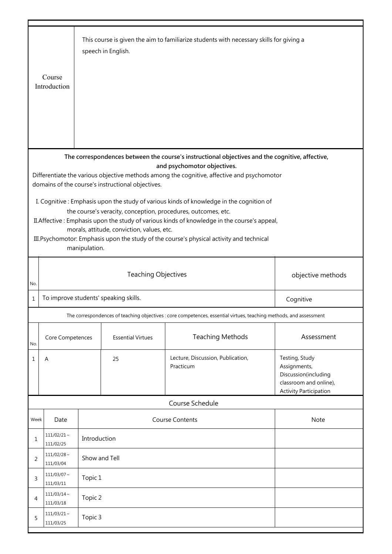|                                                                                                                                                                                                                                                                                                                                                                                                                                                                                                                                                                                                                                                                                                           | Course<br>Introduction                |               | speech in English.       | This course is given the aim to familiarize students with necessary skills for giving a                            |                                                                                                                   |  |  |  |
|-----------------------------------------------------------------------------------------------------------------------------------------------------------------------------------------------------------------------------------------------------------------------------------------------------------------------------------------------------------------------------------------------------------------------------------------------------------------------------------------------------------------------------------------------------------------------------------------------------------------------------------------------------------------------------------------------------------|---------------------------------------|---------------|--------------------------|--------------------------------------------------------------------------------------------------------------------|-------------------------------------------------------------------------------------------------------------------|--|--|--|
| The correspondences between the course's instructional objectives and the cognitive, affective,<br>and psychomotor objectives.<br>Differentiate the various objective methods among the cognitive, affective and psychomotor<br>domains of the course's instructional objectives.<br>I. Cognitive: Emphasis upon the study of various kinds of knowledge in the cognition of<br>the course's veracity, conception, procedures, outcomes, etc.<br>II. Affective: Emphasis upon the study of various kinds of knowledge in the course's appeal,<br>morals, attitude, conviction, values, etc.<br>III. Psychomotor: Emphasis upon the study of the course's physical activity and technical<br>manipulation. |                                       |               |                          |                                                                                                                    |                                                                                                                   |  |  |  |
| No.                                                                                                                                                                                                                                                                                                                                                                                                                                                                                                                                                                                                                                                                                                       | <b>Teaching Objectives</b>            |               |                          |                                                                                                                    | objective methods                                                                                                 |  |  |  |
| $\mathbf 1$                                                                                                                                                                                                                                                                                                                                                                                                                                                                                                                                                                                                                                                                                               | To improve students' speaking skills. |               |                          |                                                                                                                    | Cognitive                                                                                                         |  |  |  |
|                                                                                                                                                                                                                                                                                                                                                                                                                                                                                                                                                                                                                                                                                                           |                                       |               |                          | The correspondences of teaching objectives : core competences, essential virtues, teaching methods, and assessment |                                                                                                                   |  |  |  |
| No.                                                                                                                                                                                                                                                                                                                                                                                                                                                                                                                                                                                                                                                                                                       | Core Competences                      |               | <b>Essential Virtues</b> | <b>Teaching Methods</b>                                                                                            | Assessment                                                                                                        |  |  |  |
| $\mathbf{1}$                                                                                                                                                                                                                                                                                                                                                                                                                                                                                                                                                                                                                                                                                              | Α                                     |               | 25                       | Lecture, Discussion, Publication,<br>Practicum                                                                     | Testing, Study<br>Assignments,<br>Discussion(including<br>classroom and online),<br><b>Activity Participation</b> |  |  |  |
|                                                                                                                                                                                                                                                                                                                                                                                                                                                                                                                                                                                                                                                                                                           |                                       |               |                          | Course Schedule                                                                                                    |                                                                                                                   |  |  |  |
| Week                                                                                                                                                                                                                                                                                                                                                                                                                                                                                                                                                                                                                                                                                                      | <b>Course Contents</b><br>Date        |               |                          | Note                                                                                                               |                                                                                                                   |  |  |  |
| 1                                                                                                                                                                                                                                                                                                                                                                                                                                                                                                                                                                                                                                                                                                         | $111/02/21$ ~<br>111/02/25            | Introduction  |                          |                                                                                                                    |                                                                                                                   |  |  |  |
| 2                                                                                                                                                                                                                                                                                                                                                                                                                                                                                                                                                                                                                                                                                                         | $111/02/28$ ~<br>111/03/04            | Show and Tell |                          |                                                                                                                    |                                                                                                                   |  |  |  |
| 3                                                                                                                                                                                                                                                                                                                                                                                                                                                                                                                                                                                                                                                                                                         | $111/03/07$ ~<br>111/03/11            | Topic 1       |                          |                                                                                                                    |                                                                                                                   |  |  |  |
| 4                                                                                                                                                                                                                                                                                                                                                                                                                                                                                                                                                                                                                                                                                                         | $111/03/14$ ~<br>111/03/18            | Topic 2       |                          |                                                                                                                    |                                                                                                                   |  |  |  |
| 5                                                                                                                                                                                                                                                                                                                                                                                                                                                                                                                                                                                                                                                                                                         | $111/03/21$ ~<br>Topic 3<br>111/03/25 |               |                          |                                                                                                                    |                                                                                                                   |  |  |  |